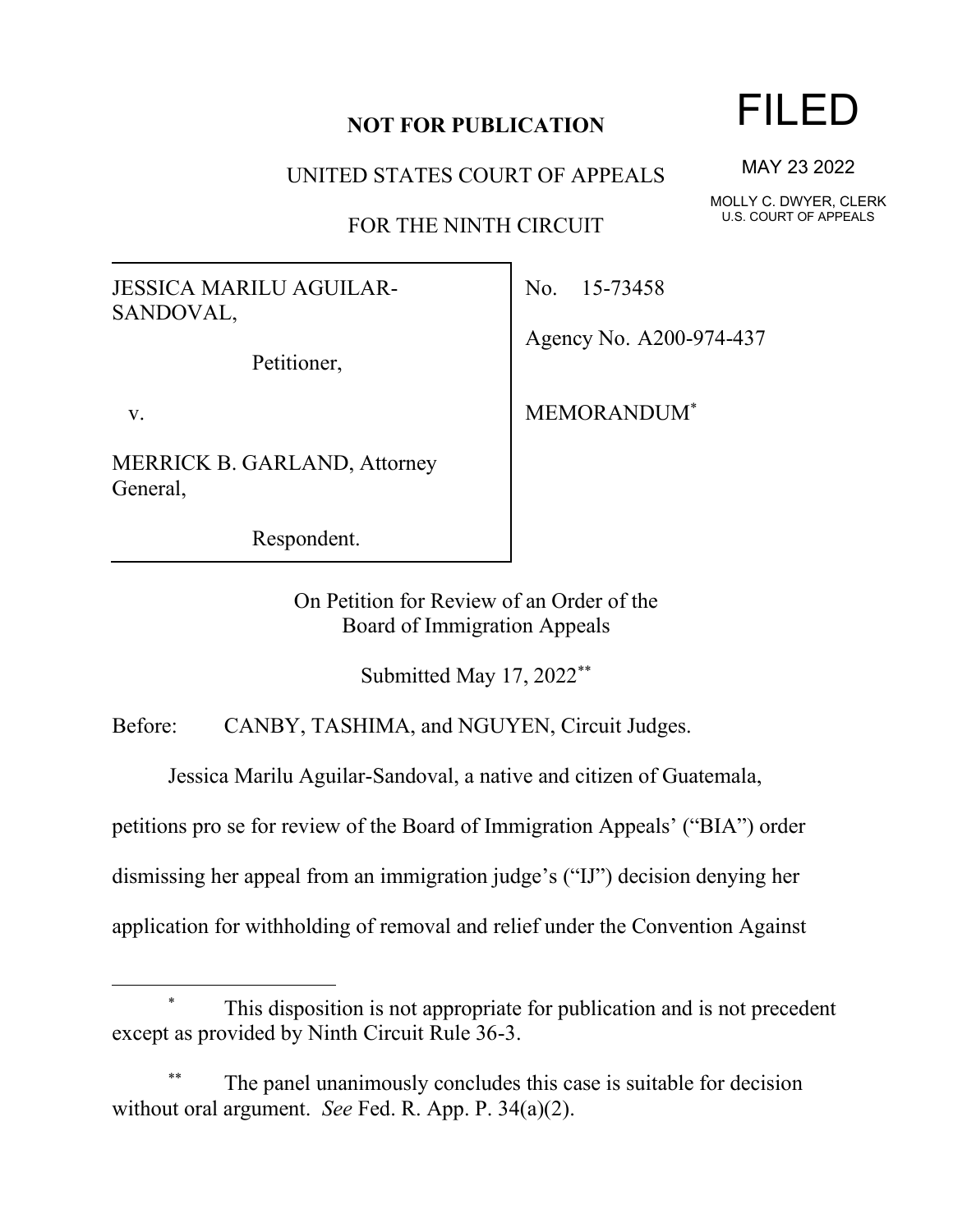## **NOT FOR PUBLICATION**

UNITED STATES COURT OF APPEALS

FOR THE NINTH CIRCUIT

JESSICA MARILU AGUILAR-SANDOVAL,

Petitioner,

v.

MERRICK B. GARLAND, Attorney General,

Respondent.

No. 15-73458

Agency No. A200-974-437

MEMORANDUM\*

On Petition for Review of an Order of the Board of Immigration Appeals

Submitted May 17, 2022\*\*

Before: CANBY, TASHIMA, and NGUYEN, Circuit Judges.

Jessica Marilu Aguilar-Sandoval, a native and citizen of Guatemala,

petitions pro se for review of the Board of Immigration Appeals' ("BIA") order

dismissing her appeal from an immigration judge's ("IJ") decision denying her

application for withholding of removal and relief under the Convention Against

## FILED

MAY 23 2022

MOLLY C. DWYER, CLERK U.S. COURT OF APPEALS

This disposition is not appropriate for publication and is not precedent except as provided by Ninth Circuit Rule 36-3.

The panel unanimously concludes this case is suitable for decision without oral argument. *See* Fed. R. App. P. 34(a)(2).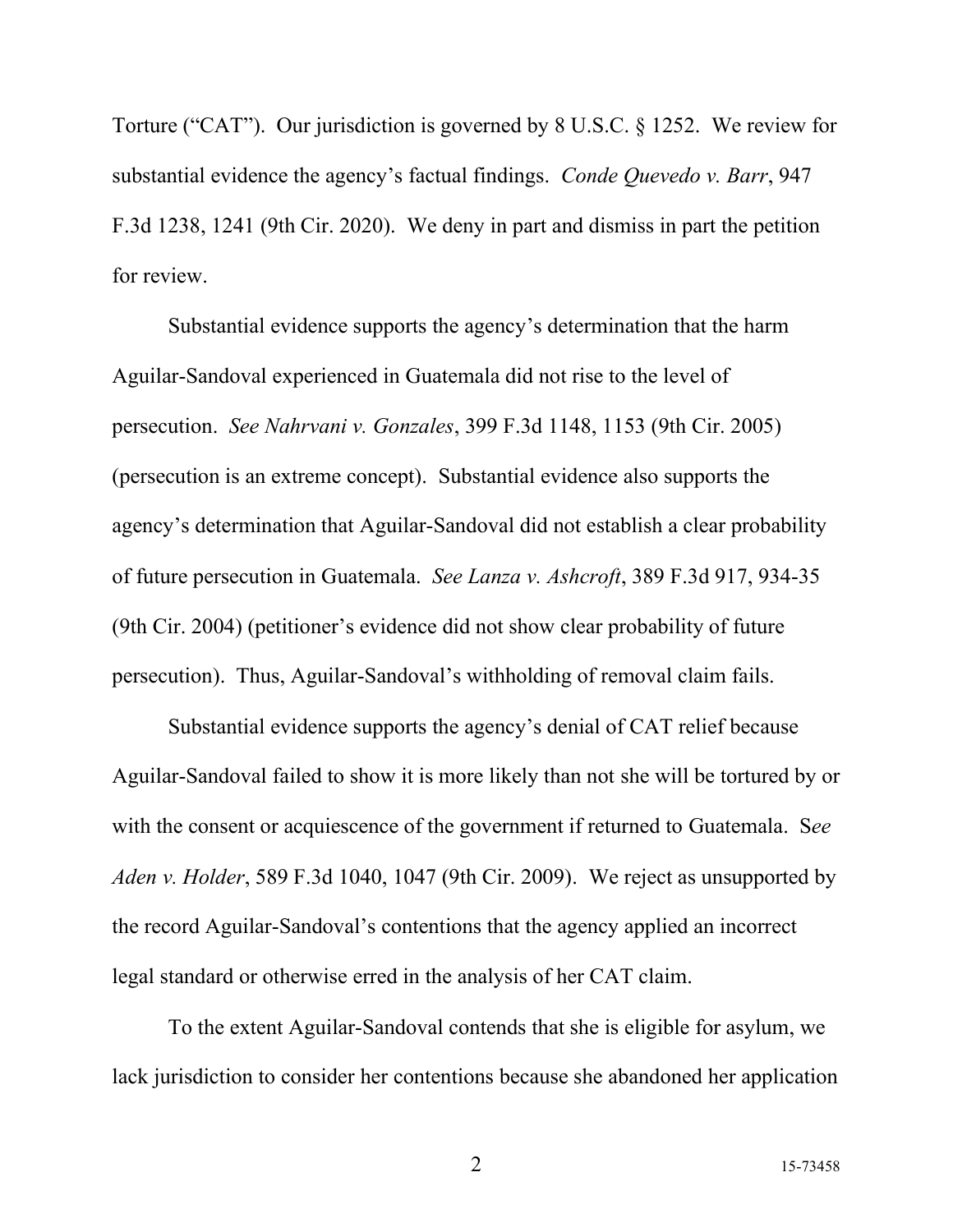Torture ("CAT"). Our jurisdiction is governed by 8 U.S.C. § 1252. We review for substantial evidence the agency's factual findings. *Conde Quevedo v. Barr*, 947 F.3d 1238, 1241 (9th Cir. 2020). We deny in part and dismiss in part the petition for review.

Substantial evidence supports the agency's determination that the harm Aguilar-Sandoval experienced in Guatemala did not rise to the level of persecution. *See Nahrvani v. Gonzales*, 399 F.3d 1148, 1153 (9th Cir. 2005) (persecution is an extreme concept). Substantial evidence also supports the agency's determination that Aguilar-Sandoval did not establish a clear probability of future persecution in Guatemala. *See Lanza v. Ashcroft*, 389 F.3d 917, 934-35 (9th Cir. 2004) (petitioner's evidence did not show clear probability of future persecution). Thus, Aguilar-Sandoval's withholding of removal claim fails.

Substantial evidence supports the agency's denial of CAT relief because Aguilar-Sandoval failed to show it is more likely than not she will be tortured by or with the consent or acquiescence of the government if returned to Guatemala. S*ee Aden v. Holder*, 589 F.3d 1040, 1047 (9th Cir. 2009). We reject as unsupported by the record Aguilar-Sandoval's contentions that the agency applied an incorrect legal standard or otherwise erred in the analysis of her CAT claim.

To the extent Aguilar-Sandoval contends that she is eligible for asylum, we lack jurisdiction to consider her contentions because she abandoned her application